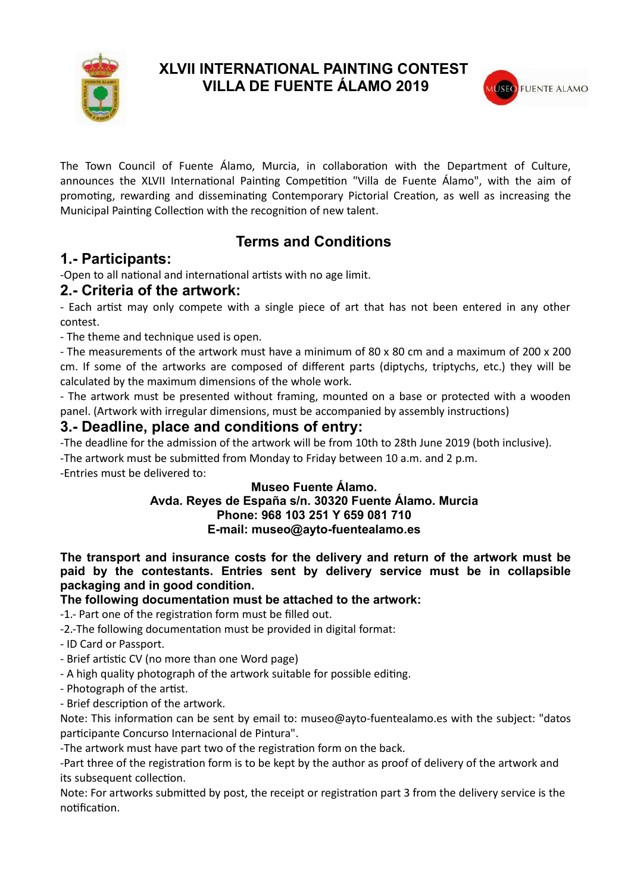

### **XLVII INTERNATIONAL PAINTING CONTEST VILLA DE FUENTE ÁLAMO 2019**



The Town Council of Fuente Álamo, Murcia, in collaboration with the Department of Culture, announces the XLVII International Painting Competition "Villa de Fuente Álamo", with the aim of promoting, rewarding and disseminating Contemporary Pictorial Creation, as well as increasing the Municipal Painting Collection with the recognition of new talent.

# **Terms and Conditions**

## **1.- Participants:**

-Open to all national and international artists with no age limit.

### **2.- Criteria of the artwork:**

- Each artist may only compete with a single piece of art that has not been entered in any other contest.

- The theme and technique used is open.

- The measurements of the artwork must have a minimum of 80 x 80 cm and a maximum of 200 x 200 cm. If some of the artworks are composed of different parts (diptychs, triptychs, etc.) they will be calculated by the maximum dimensions of the whole work.

- The artwork must be presented without framing, mounted on a base or protected with a wooden panel. (Artwork with irregular dimensions, must be accompanied by assembly instructions)

### **3.- Deadline, place and conditions of entry:**

-The deadline for the admission of the artwork will be from 10th to 28th June 2019 (both inclusive).

-The artwork must be submitted from Monday to Friday between 10 a.m. and 2 p.m.

-Entries must be delivered to:

#### **Museo Fuente Álamo. Avda. Reyes de España s/n. 30320 Fuente Álamo. Murcia Phone: 968 103 251 Y 659 081 710 E-mail: museo@ayto-fuentealamo.es**

**The transport and insurance costs for the delivery and return of the artwork must be paid by the contestants. Entries sent by delivery service must be in collapsible packaging and in good condition.** 

#### **The following documentation must be attached to the artwork:**

-1.- Part one of the registration form must be filled out.

-2.-The following documentation must be provided in digital format:

- ID Card or Passport.

- Brief artistic CV (no more than one Word page)
- A high quality photograph of the artwork suitable for possible editing.
- Photograph of the artist.
- Brief description of the artwork.

Note: This information can be sent by email to: museo@ayto-fuentealamo.es with the subject: "datos participante Concurso Internacional de Pintura".

-The artwork must have part two of the registration form on the back.

-Part three of the registration form is to be kept by the author as proof of delivery of the artwork and its subsequent collection.

Note: For artworks submitted by post, the receipt or registration part 3 from the delivery service is the notification.